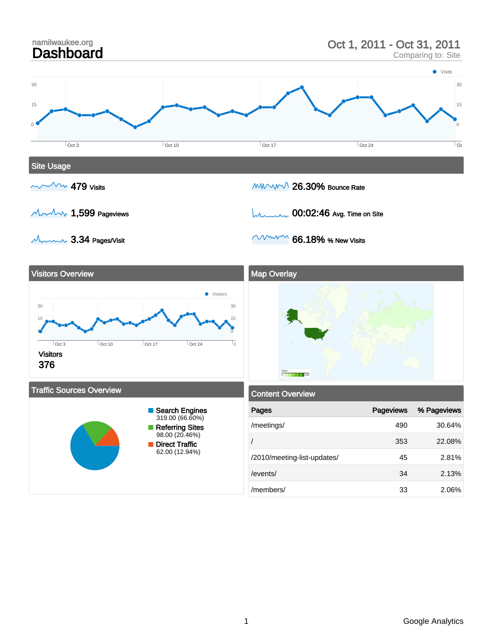

#### 1 Google Analytics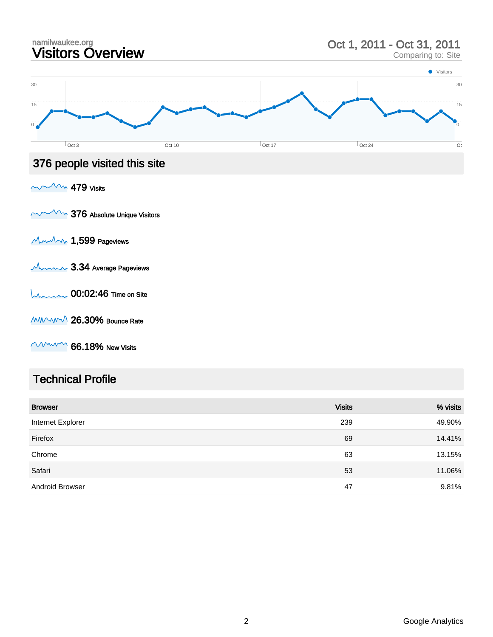

### Technical Profile

| <b>Browser</b>         | <b>Visits</b> | % visits |
|------------------------|---------------|----------|
| Internet Explorer      | 239           | 49.90%   |
| Firefox                | 69            | 14.41%   |
| Chrome                 | 63            | 13.15%   |
| Safari                 | 53            | 11.06%   |
| <b>Android Browser</b> | 47            | 9.81%    |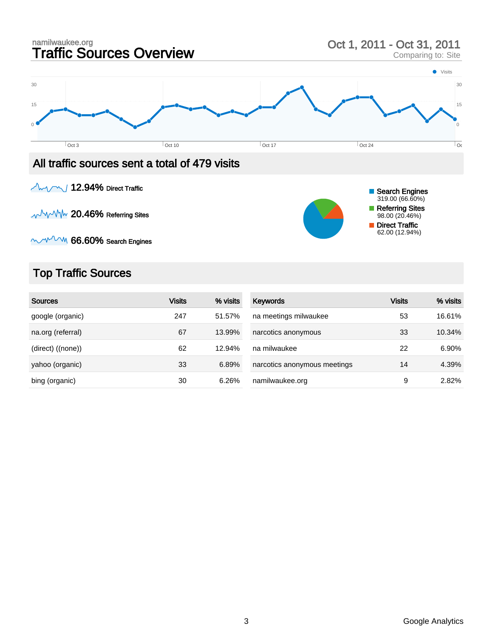

 $\sim$  12.94% Direct Traffic

**AVAM 20.46% Referring Sites** 



# Top Traffic Sources

| <b>Sources</b>    | <b>Visits</b> | % visits | <b>Keywords</b>              | <b>Visits</b> | % visits |
|-------------------|---------------|----------|------------------------------|---------------|----------|
| google (organic)  | 247           | 51.57%   | na meetings milwaukee        | 53            | 16.61%   |
| na.org (referral) | 67            | 13.99%   | narcotics anonymous          | 33            | 10.34%   |
| (direct) ((none)) | 62            | 12.94%   | na milwaukee                 | 22            | 6.90%    |
| yahoo (organic)   | 33            | 6.89%    | narcotics anonymous meetings | 14            | 4.39%    |
| bing (organic)    | 30            | 6.26%    | namilwaukee.org              | 9             | 2.82%    |

Search Engines 319.00 (66.60%) Referring Sites 98.00 (20.46%) Direct Traffic 62.00 (12.94%)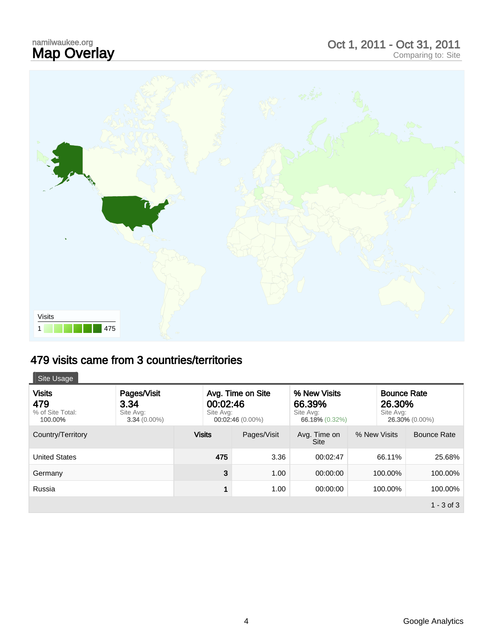# namilwaukee.org<br>**Map Overlay**

# namilwaukee.org<br> **Map Overlay** Comparing to: Site<br>
Comparing to: Site



# 479 visits came from 3 countries/territories

| Site Usage                                          |                                                    |                                                                  |             |                                                       |              |                                                             |              |
|-----------------------------------------------------|----------------------------------------------------|------------------------------------------------------------------|-------------|-------------------------------------------------------|--------------|-------------------------------------------------------------|--------------|
| <b>Visits</b><br>479<br>% of Site Total:<br>100.00% | Pages/Visit<br>3.34<br>Site Avg:<br>$3.34(0.00\%)$ | Avg. Time on Site<br>00:02:46<br>Site Avg:<br>$00:02:46(0.00\%)$ |             | % New Visits<br>66.39%<br>Site Avg:<br>66.18% (0.32%) |              | <b>Bounce Rate</b><br>26.30%<br>Site Avg:<br>26.30% (0.00%) |              |
| Country/Territory                                   |                                                    | <b>Visits</b>                                                    | Pages/Visit | Avg. Time on<br><b>Site</b>                           | % New Visits |                                                             | Bounce Rate  |
| <b>United States</b>                                |                                                    | 475                                                              | 3.36        | 00:02:47                                              |              | 66.11%                                                      | 25.68%       |
| Germany                                             |                                                    | 3                                                                | 1.00        | 00:00:00                                              |              | 100.00%                                                     | 100.00%      |
| Russia                                              |                                                    | 1                                                                | 1.00        | 00:00:00                                              |              | 100.00%                                                     | 100.00%      |
|                                                     |                                                    |                                                                  |             |                                                       |              |                                                             | $1 - 3$ of 3 |